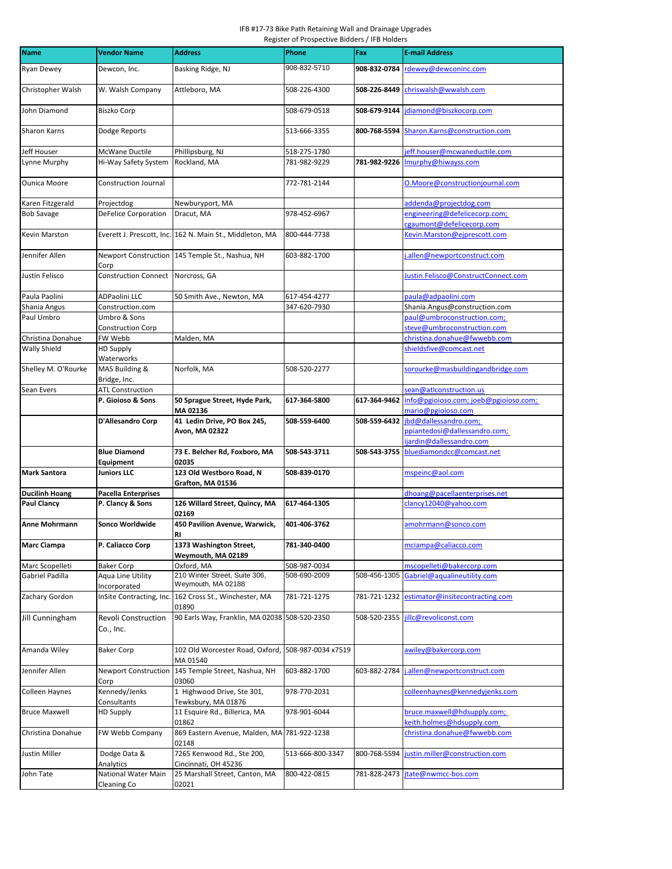## IFB #17-73 Bike Path Retaining Wall and Drainage Upgrades Register of Prospective Bidders / IFB Holders

| <b>Name</b>          | <b>Vendor Name</b>                      | <b>Address</b>                                                  | Phone              | Fax          | <b>E-mail Address</b>                                       |
|----------------------|-----------------------------------------|-----------------------------------------------------------------|--------------------|--------------|-------------------------------------------------------------|
| Ryan Dewey           | Dewcon, Inc.                            | Basking Ridge, NJ                                               | 908-832-5710       | 908-832-0784 | rdewey@dewconinc.com                                        |
| Christopher Walsh    | W. Walsh Company                        | Attleboro, MA                                                   | 508-226-4300       | 508-226-8449 | chriswalsh@wwalsh.com                                       |
| John Diamond         | Biszko Corp                             |                                                                 | 508-679-0518       | 508-679-9144 | idiamond@biszkocorp.com                                     |
| Sharon Karns         | Dodge Reports                           |                                                                 | 513-666-3355       | 800-768-5594 | Sharon.Karns@construction.com                               |
| <b>Jeff Houser</b>   | McWane Ductile                          | Phillipsburg, NJ                                                | 518-275-1780       |              | jeff.houser@mcwaneductile.com                               |
| Lynne Murphy         | Hi-Way Safety System                    | Rockland, MA                                                    | 781-982-9229       | 781-982-9226 | Imurphy@hiwayss.com                                         |
| Ounica Moore         | <b>Construction Journal</b>             |                                                                 | 772-781-2144       |              | O.Moore@constructionjournal.com                             |
| Karen Fitzgerald     | Projectdog                              | Newburyport, MA                                                 |                    |              | addenda@projectdog.com                                      |
| <b>Bob Savage</b>    | <b>DeFelice Corporation</b>             | Dracut, MA                                                      | 978-452-6967       |              | engineering@defelicecorp.com;<br>cgaumont@defelicecorp.com  |
| Kevin Marston        |                                         | Everett J. Prescott, Inc. 162 N. Main St., Middleton, MA        | 800-444-7738       |              | Kevin.Marston@ejprescott.com                                |
| Jennifer Allen       | Corp                                    | Newport Construction 145 Temple St., Nashua, NH                 | 603-882-1700       |              | allen@newportconstruct.com                                  |
| Justin Felisco       | Construction Connect Norcross, GA       |                                                                 |                    |              | Justin.Felisco@ConstructConnect.com                         |
| Paula Paolini        | ADPaolini LLC                           | 50 Smith Ave., Newton, MA                                       | 617-454-4277       |              | paula@adpaolini.com                                         |
| Shania Angus         | Construction.com                        |                                                                 | 347-620-7930       |              | Shania.Angus@construction.com                               |
| Paul Umbro           | Umbro & Sons                            |                                                                 |                    |              | paul@umbroconstruction.com;                                 |
|                      | <b>Construction Corp</b>                |                                                                 |                    |              | steve@umbroconstruction.com                                 |
| Christina Donahue    | FW Webb                                 | Malden, MA                                                      |                    |              | christina.donahue@fwwebb.com                                |
| Wally Shield         | <b>HD Supply</b><br>Waterworks          |                                                                 |                    |              | shieldsfive@comcast.net                                     |
| Shelley M. O'Rourke  | MAS Building &<br>Bridge, Inc.          | Norfolk, MA                                                     | 508-520-2277       |              | sorourke@masbuildingandbridge.com                           |
| Sean Evers           | <b>ATL Construction</b>                 |                                                                 |                    |              | sean@atlconstruction.us                                     |
|                      | P. Gioioso & Sons                       | 50 Sprague Street, Hyde Park,<br>MA 02136                       | 617-364-5800       | 617-364-9462 | info@pgioioso.com; joeb@pgioioso.com;<br>mario@pgioioso.com |
|                      | D'Allesandro Corp                       | 41 Ledin Drive, PO Box 245,                                     | 508-559-6400       | 508-559-6432 | jbd@dallessandro.com;                                       |
|                      |                                         | Avon, MA 02322                                                  |                    |              | ppiantedosi@dallessandro.com;<br>ijardin@dallessandro.com   |
|                      | <b>Blue Diamond</b><br><b>Equipment</b> | 73 E. Belcher Rd, Foxboro, MA<br>02035                          | 508-543-3711       | 508-543-3755 | bluediamondcc@comcast.net                                   |
| Mark Santora         | <b>Juniors LLC</b>                      | 123 Old Westboro Road, N<br>Grafton, MA 01536                   | 508-839-0170       |              | mspeinc@aol.com                                             |
| Ducilinh Hoang       | <b>Pacella Enterprises</b>              |                                                                 |                    |              | dhoang@pacellaenterprises.net                               |
| Paul Clancy          | P. Clancy & Sons                        | 126 Willard Street, Quincy, MA                                  | 617-464-1305       |              | clancy12040@yahoo.com                                       |
|                      |                                         | 02169                                                           |                    |              |                                                             |
| Anne Mohrmann        | Sonco Worldwide                         | 450 Pavilion Avenue, Warwick,<br>RI                             | 401-406-3762       |              | amohrmann@sonco.com                                         |
| Marc Ciampa          | P. Caliacco Corp                        | 1373 Washington Street,<br>Weymouth, MA 02189                   | 781-340-0400       |              | mciampa@caliacco.com                                        |
| Marc Scopelleti      | <b>Baker Corp</b>                       | Oxford, MA                                                      | 508-987-0034       |              | mscopelleti@bakercorp.com                                   |
| Gabriel Padilla      | Aqua Line Utility<br>Incorporated       | 210 Winter Street, Suite 306,<br>Weymouth, MA 02188             | 508-690-2009       | 508-456-1305 | Gabriel@agualineutility.com                                 |
| Zachary Gordon       |                                         | InSite Contracting, Inc. 162 Cross St., Winchester, MA<br>01890 | 781-721-1275       | 781-721-1232 | estimator@insitecontracting.com                             |
| Jill Cunningham      | Revoli Construction                     | 90 Earls Way, Franklin, MA 02038 508-520-2350                   |                    | 508-520-2355 | jillc@revoliconst.com                                       |
|                      | Co., Inc.                               |                                                                 |                    |              |                                                             |
| Amanda Wiley         | <b>Baker Corp</b>                       | 102 Old Worcester Road, Oxford,<br>MA 01540                     | 508-987-0034 x7519 |              | awiley@bakercorp.com                                        |
| Jennifer Allen       | Corp                                    | Newport Construction 145 Temple Street, Nashua, NH<br>03060     | 603-882-1700       | 603-882-2784 | .allen@newportconstruct.com                                 |
| Colleen Haynes       | Kennedy/Jenks<br>Consultants            | 1 Highwood Drive, Ste 301,<br>Tewksbury, MA 01876               | 978-770-2031       |              | colleenhaynes@kennedyjenks.com                              |
| <b>Bruce Maxwell</b> | <b>HD Supply</b>                        | 11 Esquire Rd., Billerica, MA                                   | 978-901-6044       |              | bruce.maxwell@hdsupply.com;                                 |
| Christina Donahue    | FW Webb Company                         | 01862<br>869 Eastern Avenue, Malden, MA 781-922-1238            |                    |              | keith.holmes@hdsupply.com<br>christina.donahue@fwwebb.com   |
| Justin Miller        | Dodge Data &                            | 02148<br>7265 Kenwood Rd., Ste 200,                             | 513-666-800-3347   | 800-768-5594 | justin.miller@construction.com                              |
|                      | Analytics                               | Cincinnati, OH 45236                                            |                    |              |                                                             |
| John Tate            | National Water Main<br>Cleaning Co      | 25 Marshall Street, Canton, MA<br>02021                         | 800-422-0815       | 781-828-2473 | jtate@nwmcc-bos.com                                         |